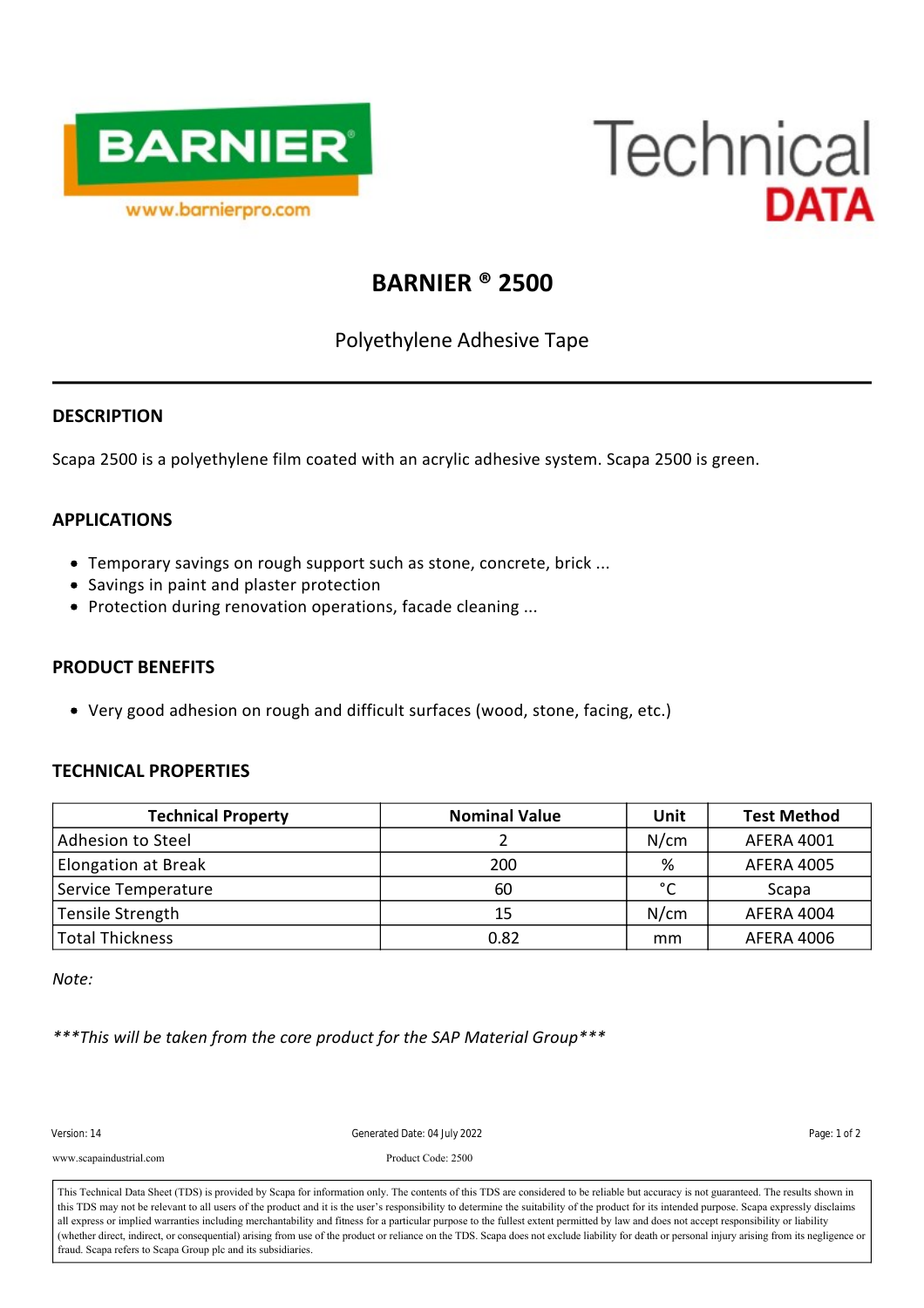



# **BARNIER ® 2500**

Polyethylene Adhesive Tape

### **DESCRIPTION**

Scapa 2500 is a polyethylene film coated with an acrylic adhesive system. Scapa 2500 is green.

## **APPLICATIONS**

- Temporary savings on rough support such as stone, concrete, brick ...
- Savings in paint and plaster protection
- Protection during renovation operations, facade cleaning ...

### **PRODUCT BENEFITS**

Very good adhesion on rough and difficult surfaces (wood, stone, facing, etc.)

### **TECHNICAL PROPERTIES**

| <b>Technical Property</b> | <b>Nominal Value</b> | Unit | <b>Test Method</b> |
|---------------------------|----------------------|------|--------------------|
| Adhesion to Steel         |                      | N/cm | <b>AFERA 4001</b>  |
| Elongation at Break       | 200                  | %    | <b>AFERA 4005</b>  |
| Service Temperature       | 60                   | °C   | Scapa              |
| Tensile Strength          | 15                   | N/cm | AFERA 4004         |
| <b>Total Thickness</b>    | 0.82                 | mm   | <b>AFERA 4006</b>  |

*Note:*

*\*\*\*This will be taken from the core product for the SAP Material Group\*\*\**

 $\overline{a}$ Version: 14 Cenerated Date: 04 July 2022 Cenerated Date: 04 July 2022

Packaging: 6; 6 www.scapaindustrial.com Product Code: 2500

all express or implied warranties including merchantability and fitness for a particular purpose to the fullest extent permitted by law and does not accept responsibility or liability (whether direct, indirect, or conseque This Technical Data Sheet (TDS) is provided by Scapa for information only. The contents of this TDS are considered to be reliable but accuracy is not guaranteed. The results shown in this TDS may not be relevant to all users of the product and it is the user's responsibility to determine the suitability of the product for its intended purpose. Scapa expressly disclaims all express or implied warranties including merchantability and fitness for a particular purpose to the fullest extent permitted by law and does not accept responsibility or liability fraud. Scapa refers to Scapa Group plc and its subsidiaries.

The rolls showled be stored flat on the original packaging. The original packaging. The product must be product must be product must be product must be product must be product must be product must be product must be produ